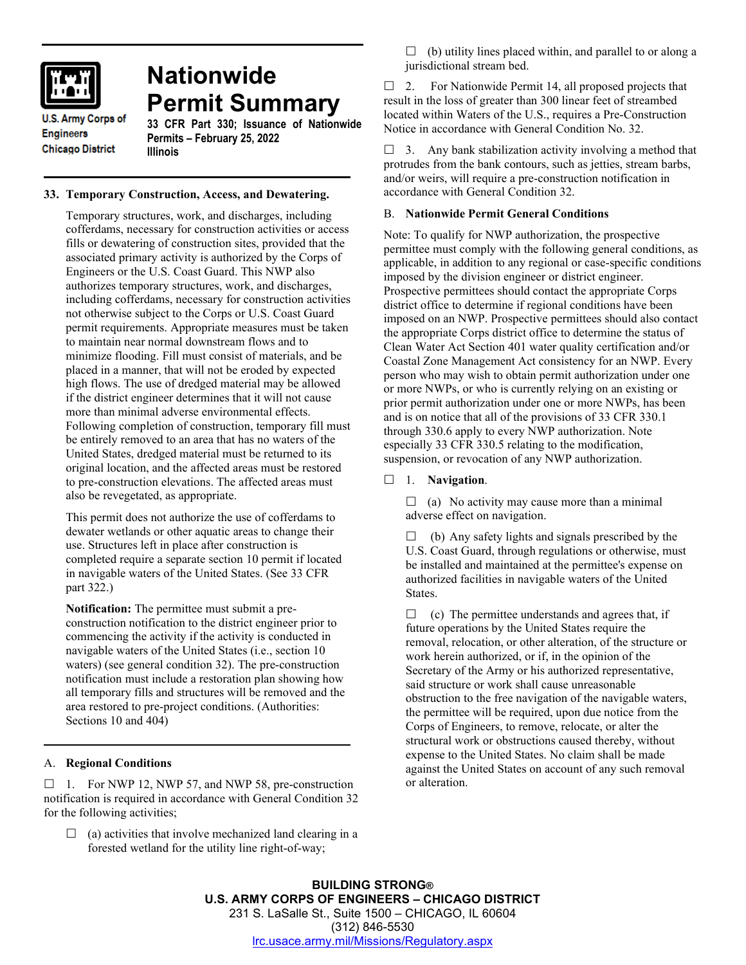

# **Nationwide Permit Summary**

**U.S. Army Corps of Engineers Chicago District** 

**33 CFR Part 330; Issuance of Nationwide Permits – February 25, 2022 Illinois**

## **33. Temporary Construction, Access, and Dewatering.**

Temporary structures, work, and discharges, including cofferdams, necessary for construction activities or access fills or dewatering of construction sites, provided that the associated primary activity is authorized by the Corps of Engineers or the U.S. Coast Guard. This NWP also authorizes temporary structures, work, and discharges, including cofferdams, necessary for construction activities not otherwise subject to the Corps or U.S. Coast Guard permit requirements. Appropriate measures must be taken to maintain near normal downstream flows and to minimize flooding. Fill must consist of materials, and be placed in a manner, that will not be eroded by expected high flows. The use of dredged material may be allowed if the district engineer determines that it will not cause more than minimal adverse environmental effects. Following completion of construction, temporary fill must be entirely removed to an area that has no waters of the United States, dredged material must be returned to its original location, and the affected areas must be restored to pre-construction elevations. The affected areas must also be revegetated, as appropriate.

This permit does not authorize the use of cofferdams to dewater wetlands or other aquatic areas to change their use. Structures left in place after construction is completed require a separate section 10 permit if located in navigable waters of the United States. (See 33 CFR part 322.)

**Notification:** The permittee must submit a preconstruction notification to the district engineer prior to commencing the activity if the activity is conducted in navigable waters of the United States (i.e., section 10 waters) (see general condition 32). The pre-construction notification must include a restoration plan showing how all temporary fills and structures will be removed and the area restored to pre-project conditions. (Authorities: Sections 10 and 404)

## A. **Regional Conditions**

 $\Box$  1. For NWP 12, NWP 57, and NWP 58, pre-construction notification is required in accordance with General Condition 32 for the following activities;

 $\Box$  (a) activities that involve mechanized land clearing in a forested wetland for the utility line right-of-way;

 $\Box$  (b) utility lines placed within, and parallel to or along a jurisdictional stream bed.

 $\Box$  2. For Nationwide Permit 14, all proposed projects that result in the loss of greater than 300 linear feet of streambed located within Waters of the U.S., requires a Pre-Construction Notice in accordance with General Condition No. 32.

 $\Box$  3. Any bank stabilization activity involving a method that protrudes from the bank contours, such as jetties, stream barbs, and/or weirs, will require a pre-construction notification in accordance with General Condition 32.

## B. **Nationwide Permit General Conditions**

Note: To qualify for NWP authorization, the prospective permittee must comply with the following general conditions, as applicable, in addition to any regional or case-specific conditions imposed by the division engineer or district engineer. Prospective permittees should contact the appropriate Corps district office to determine if regional conditions have been imposed on an NWP. Prospective permittees should also contact the appropriate Corps district office to determine the status of Clean Water Act Section 401 water quality certification and/or Coastal Zone Management Act consistency for an NWP. Every person who may wish to obtain permit authorization under one or more NWPs, or who is currently relying on an existing or prior permit authorization under one or more NWPs, has been and is on notice that all of the provisions of 33 CFR 330.1 through 330.6 apply to every NWP authorization. Note especially 33 CFR 330.5 relating to the modification, suspension, or revocation of any NWP authorization.

## 1. **Navigation**.

 $\Box$  (a) No activity may cause more than a minimal adverse effect on navigation.

 $\Box$  (b) Any safety lights and signals prescribed by the U.S. Coast Guard, through regulations or otherwise, must be installed and maintained at the permittee's expense on authorized facilities in navigable waters of the United **States**.

 $\Box$  (c) The permittee understands and agrees that, if future operations by the United States require the removal, relocation, or other alteration, of the structure or work herein authorized, or if, in the opinion of the Secretary of the Army or his authorized representative, said structure or work shall cause unreasonable obstruction to the free navigation of the navigable waters, the permittee will be required, upon due notice from the Corps of Engineers, to remove, relocate, or alter the structural work or obstructions caused thereby, without expense to the United States. No claim shall be made against the United States on account of any such removal or alteration.

**BUILDING STRONG® U.S. ARMY CORPS OF ENGINEERS – CHICAGO DISTRICT** 231 S. LaSalle St., Suite 1500 – CHICAGO, IL 60604 (312) 846-5530 [lrc.usace.army.mil/Missions/Regulatory.aspx](https://www.lrc.usace.army.mil/Missions/Regulatory.aspx)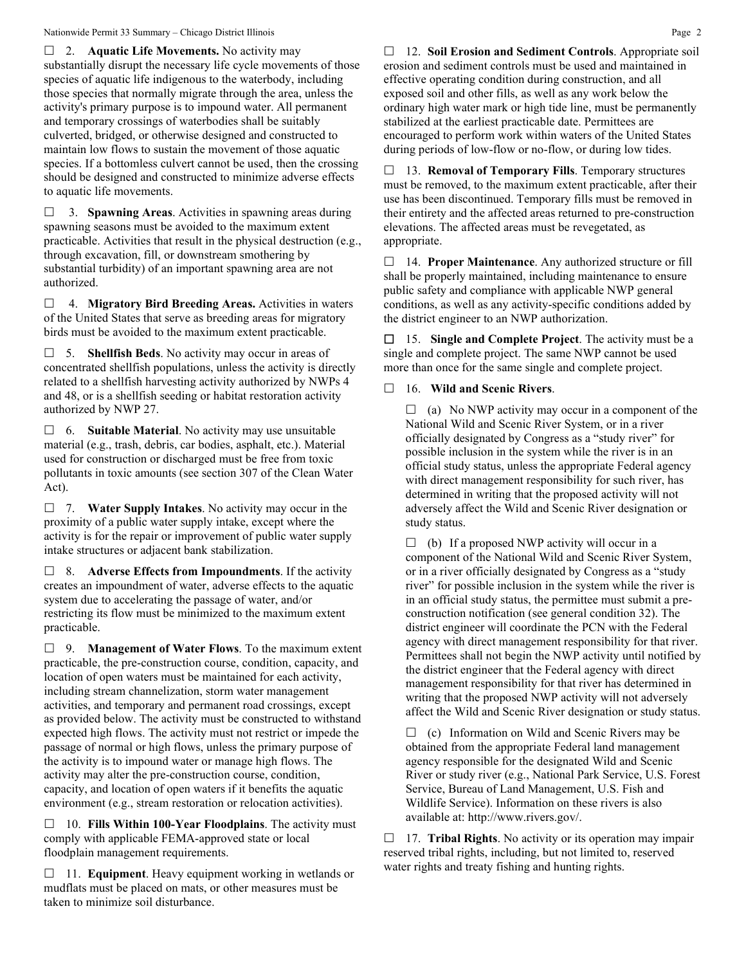Nationwide Permit 33 Summary – Chicago District Illinois **Page 2** Page 2

 2. **Aquatic Life Movements.** No activity may substantially disrupt the necessary life cycle movements of those species of aquatic life indigenous to the waterbody, including those species that normally migrate through the area, unless the activity's primary purpose is to impound water. All permanent and temporary crossings of waterbodies shall be suitably culverted, bridged, or otherwise designed and constructed to maintain low flows to sustain the movement of those aquatic species. If a bottomless culvert cannot be used, then the crossing should be designed and constructed to minimize adverse effects to aquatic life movements.

 3. **Spawning Areas**. Activities in spawning areas during spawning seasons must be avoided to the maximum extent practicable. Activities that result in the physical destruction (e.g., through excavation, fill, or downstream smothering by substantial turbidity) of an important spawning area are not authorized.

 4. **Migratory Bird Breeding Areas.** Activities in waters of the United States that serve as breeding areas for migratory birds must be avoided to the maximum extent practicable.

 5. **Shellfish Beds**. No activity may occur in areas of concentrated shellfish populations, unless the activity is directly related to a shellfish harvesting activity authorized by NWPs 4 and 48, or is a shellfish seeding or habitat restoration activity authorized by NWP 27.

 6. **Suitable Material**. No activity may use unsuitable material (e.g., trash, debris, car bodies, asphalt, etc.). Material used for construction or discharged must be free from toxic pollutants in toxic amounts (see section 307 of the Clean Water Act).

 7. **Water Supply Intakes**. No activity may occur in the proximity of a public water supply intake, except where the activity is for the repair or improvement of public water supply intake structures or adjacent bank stabilization.

 8. **Adverse Effects from Impoundments**. If the activity creates an impoundment of water, adverse effects to the aquatic system due to accelerating the passage of water, and/or restricting its flow must be minimized to the maximum extent practicable.

 9. **Management of Water Flows**. To the maximum extent practicable, the pre-construction course, condition, capacity, and location of open waters must be maintained for each activity, including stream channelization, storm water management activities, and temporary and permanent road crossings, except as provided below. The activity must be constructed to withstand expected high flows. The activity must not restrict or impede the passage of normal or high flows, unless the primary purpose of the activity is to impound water or manage high flows. The activity may alter the pre-construction course, condition, capacity, and location of open waters if it benefits the aquatic environment (e.g., stream restoration or relocation activities).

 10. **Fills Within 100-Year Floodplains**. The activity must comply with applicable FEMA-approved state or local floodplain management requirements.

□ 11. **Equipment**. Heavy equipment working in wetlands or mudflats must be placed on mats, or other measures must be taken to minimize soil disturbance.

 12. **Soil Erosion and Sediment Controls**. Appropriate soil erosion and sediment controls must be used and maintained in effective operating condition during construction, and all exposed soil and other fills, as well as any work below the ordinary high water mark or high tide line, must be permanently stabilized at the earliest practicable date. Permittees are encouraged to perform work within waters of the United States during periods of low-flow or no-flow, or during low tides.

 13. **Removal of Temporary Fills**. Temporary structures must be removed, to the maximum extent practicable, after their use has been discontinued. Temporary fills must be removed in their entirety and the affected areas returned to pre-construction elevations. The affected areas must be revegetated, as appropriate.

 14. **Proper Maintenance**. Any authorized structure or fill shall be properly maintained, including maintenance to ensure public safety and compliance with applicable NWP general conditions, as well as any activity-specific conditions added by the district engineer to an NWP authorization.

 15. **Single and Complete Project**. The activity must be a single and complete project. The same NWP cannot be used more than once for the same single and complete project.

# 16. **Wild and Scenic Rivers**.

 $\Box$  (a) No NWP activity may occur in a component of the National Wild and Scenic River System, or in a river officially designated by Congress as a "study river" for possible inclusion in the system while the river is in an official study status, unless the appropriate Federal agency with direct management responsibility for such river, has determined in writing that the proposed activity will not adversely affect the Wild and Scenic River designation or study status.

 $\Box$  (b) If a proposed NWP activity will occur in a component of the National Wild and Scenic River System, or in a river officially designated by Congress as a "study river" for possible inclusion in the system while the river is in an official study status, the permittee must submit a preconstruction notification (see general condition 32). The district engineer will coordinate the PCN with the Federal agency with direct management responsibility for that river. Permittees shall not begin the NWP activity until notified by the district engineer that the Federal agency with direct management responsibility for that river has determined in writing that the proposed NWP activity will not adversely affect the Wild and Scenic River designation or study status.

 $\Box$  (c) Information on Wild and Scenic Rivers may be obtained from the appropriate Federal land management agency responsible for the designated Wild and Scenic River or study river (e.g., National Park Service, U.S. Forest Service, Bureau of Land Management, U.S. Fish and Wildlife Service). Information on these rivers is also available at: http://www.rivers.gov/.

 17. **Tribal Rights**. No activity or its operation may impair reserved tribal rights, including, but not limited to, reserved water rights and treaty fishing and hunting rights.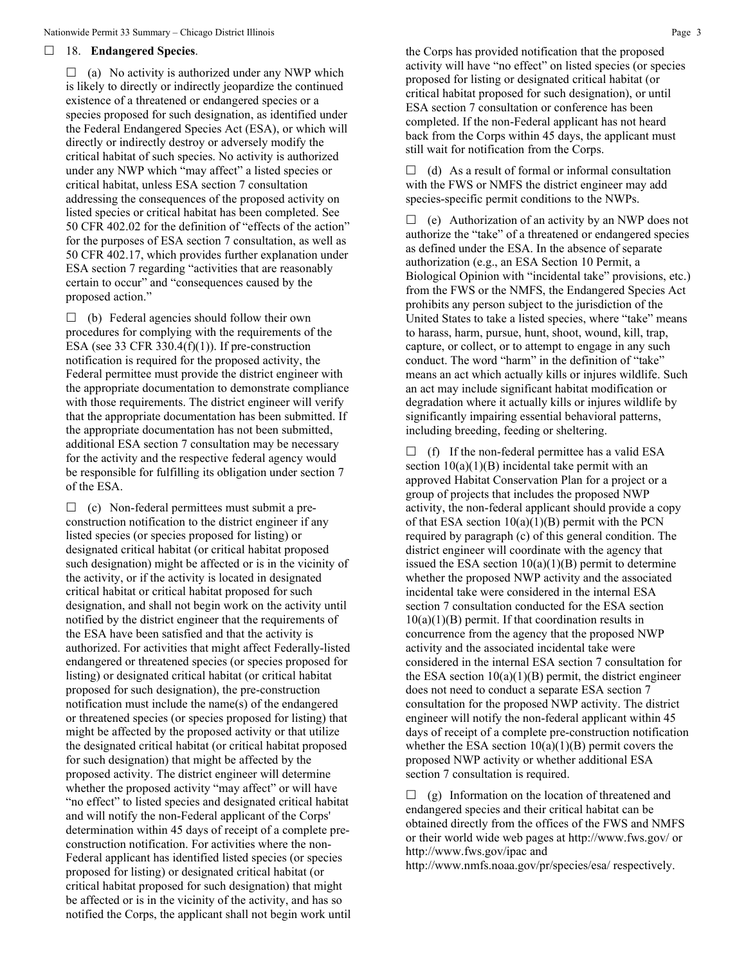#### 18. **Endangered Species**.

 $\Box$  (a) No activity is authorized under any NWP which is likely to directly or indirectly jeopardize the continued existence of a threatened or endangered species or a species proposed for such designation, as identified under the Federal Endangered Species Act (ESA), or which will directly or indirectly destroy or adversely modify the critical habitat of such species. No activity is authorized under any NWP which "may affect" a listed species or critical habitat, unless ESA section 7 consultation addressing the consequences of the proposed activity on listed species or critical habitat has been completed. See 50 CFR 402.02 for the definition of "effects of the action" for the purposes of ESA section 7 consultation, as well as 50 CFR 402.17, which provides further explanation under ESA section 7 regarding "activities that are reasonably certain to occur" and "consequences caused by the proposed action."

 $\Box$  (b) Federal agencies should follow their own procedures for complying with the requirements of the ESA (see 33 CFR 330.4 $(f)(1)$ ). If pre-construction notification is required for the proposed activity, the Federal permittee must provide the district engineer with the appropriate documentation to demonstrate compliance with those requirements. The district engineer will verify that the appropriate documentation has been submitted. If the appropriate documentation has not been submitted, additional ESA section 7 consultation may be necessary for the activity and the respective federal agency would be responsible for fulfilling its obligation under section 7 of the ESA.

 $\Box$  (c) Non-federal permittees must submit a preconstruction notification to the district engineer if any listed species (or species proposed for listing) or designated critical habitat (or critical habitat proposed such designation) might be affected or is in the vicinity of the activity, or if the activity is located in designated critical habitat or critical habitat proposed for such designation, and shall not begin work on the activity until notified by the district engineer that the requirements of the ESA have been satisfied and that the activity is authorized. For activities that might affect Federally-listed endangered or threatened species (or species proposed for listing) or designated critical habitat (or critical habitat proposed for such designation), the pre-construction notification must include the name(s) of the endangered or threatened species (or species proposed for listing) that might be affected by the proposed activity or that utilize the designated critical habitat (or critical habitat proposed for such designation) that might be affected by the proposed activity. The district engineer will determine whether the proposed activity "may affect" or will have "no effect" to listed species and designated critical habitat and will notify the non-Federal applicant of the Corps' determination within 45 days of receipt of a complete preconstruction notification. For activities where the non-Federal applicant has identified listed species (or species proposed for listing) or designated critical habitat (or critical habitat proposed for such designation) that might be affected or is in the vicinity of the activity, and has so notified the Corps, the applicant shall not begin work until the Corps has provided notification that the proposed activity will have "no effect" on listed species (or species proposed for listing or designated critical habitat (or critical habitat proposed for such designation), or until ESA section 7 consultation or conference has been completed. If the non-Federal applicant has not heard back from the Corps within 45 days, the applicant must still wait for notification from the Corps.

 $\Box$  (d) As a result of formal or informal consultation with the FWS or NMFS the district engineer may add species-specific permit conditions to the NWPs.

 $\Box$  (e) Authorization of an activity by an NWP does not authorize the "take" of a threatened or endangered species as defined under the ESA. In the absence of separate authorization (e.g., an ESA Section 10 Permit, a Biological Opinion with "incidental take" provisions, etc.) from the FWS or the NMFS, the Endangered Species Act prohibits any person subject to the jurisdiction of the United States to take a listed species, where "take" means to harass, harm, pursue, hunt, shoot, wound, kill, trap, capture, or collect, or to attempt to engage in any such conduct. The word "harm" in the definition of "take" means an act which actually kills or injures wildlife. Such an act may include significant habitat modification or degradation where it actually kills or injures wildlife by significantly impairing essential behavioral patterns, including breeding, feeding or sheltering.

 $\Box$  (f) If the non-federal permittee has a valid ESA section  $10(a)(1)(B)$  incidental take permit with an approved Habitat Conservation Plan for a project or a group of projects that includes the proposed NWP activity, the non-federal applicant should provide a copy of that ESA section  $10(a)(1)(B)$  permit with the PCN required by paragraph (c) of this general condition. The district engineer will coordinate with the agency that issued the ESA section  $10(a)(1)(B)$  permit to determine whether the proposed NWP activity and the associated incidental take were considered in the internal ESA section 7 consultation conducted for the ESA section  $10(a)(1)(B)$  permit. If that coordination results in concurrence from the agency that the proposed NWP activity and the associated incidental take were considered in the internal ESA section 7 consultation for the ESA section  $10(a)(1)(B)$  permit, the district engineer does not need to conduct a separate ESA section 7 consultation for the proposed NWP activity. The district engineer will notify the non-federal applicant within 45 days of receipt of a complete pre-construction notification whether the ESA section  $10(a)(1)(B)$  permit covers the proposed NWP activity or whether additional ESA section 7 consultation is required.

 $\Box$  (g) Information on the location of threatened and endangered species and their critical habitat can be obtained directly from the offices of the FWS and NMFS or their world wide web pages at http://www.fws.gov/ or http://www.fws.gov/ipac and

http://www.nmfs.noaa.gov/pr/species/esa/ respectively.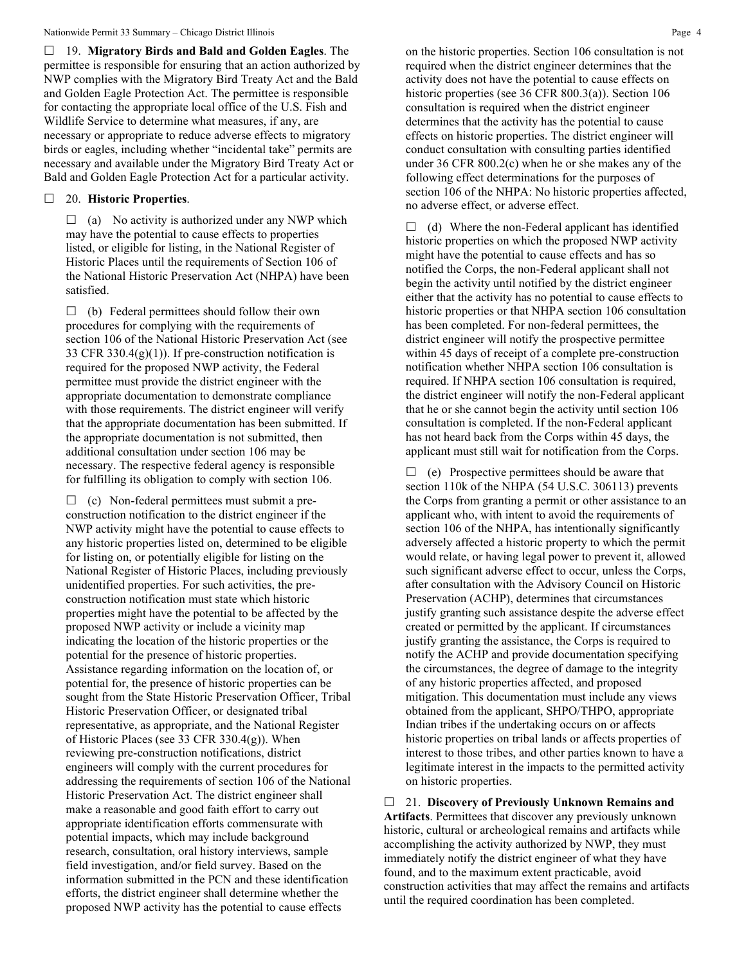19. **Migratory Birds and Bald and Golden Eagles**. The permittee is responsible for ensuring that an action authorized by NWP complies with the Migratory Bird Treaty Act and the Bald and Golden Eagle Protection Act. The permittee is responsible for contacting the appropriate local office of the U.S. Fish and Wildlife Service to determine what measures, if any, are necessary or appropriate to reduce adverse effects to migratory birds or eagles, including whether "incidental take" permits are necessary and available under the Migratory Bird Treaty Act or Bald and Golden Eagle Protection Act for a particular activity.

## 20. **Historic Properties**.

 $\Box$  (a) No activity is authorized under any NWP which may have the potential to cause effects to properties listed, or eligible for listing, in the National Register of Historic Places until the requirements of Section 106 of the National Historic Preservation Act (NHPA) have been satisfied.

 $\Box$  (b) Federal permittees should follow their own procedures for complying with the requirements of section 106 of the National Historic Preservation Act (see 33 CFR 330.4 $(g)(1)$ ). If pre-construction notification is required for the proposed NWP activity, the Federal permittee must provide the district engineer with the appropriate documentation to demonstrate compliance with those requirements. The district engineer will verify that the appropriate documentation has been submitted. If the appropriate documentation is not submitted, then additional consultation under section 106 may be necessary. The respective federal agency is responsible for fulfilling its obligation to comply with section 106.

 $\Box$  (c) Non-federal permittees must submit a preconstruction notification to the district engineer if the NWP activity might have the potential to cause effects to any historic properties listed on, determined to be eligible for listing on, or potentially eligible for listing on the National Register of Historic Places, including previously unidentified properties. For such activities, the preconstruction notification must state which historic properties might have the potential to be affected by the proposed NWP activity or include a vicinity map indicating the location of the historic properties or the potential for the presence of historic properties. Assistance regarding information on the location of, or potential for, the presence of historic properties can be sought from the State Historic Preservation Officer, Tribal Historic Preservation Officer, or designated tribal representative, as appropriate, and the National Register of Historic Places (see 33 CFR  $330.4(g)$ ). When reviewing pre-construction notifications, district engineers will comply with the current procedures for addressing the requirements of section 106 of the National Historic Preservation Act. The district engineer shall make a reasonable and good faith effort to carry out appropriate identification efforts commensurate with potential impacts, which may include background research, consultation, oral history interviews, sample field investigation, and/or field survey. Based on the information submitted in the PCN and these identification efforts, the district engineer shall determine whether the proposed NWP activity has the potential to cause effects

on the historic properties. Section 106 consultation is not required when the district engineer determines that the activity does not have the potential to cause effects on historic properties (see 36 CFR 800.3(a)). Section 106 consultation is required when the district engineer determines that the activity has the potential to cause effects on historic properties. The district engineer will conduct consultation with consulting parties identified under 36 CFR 800.2(c) when he or she makes any of the following effect determinations for the purposes of section 106 of the NHPA: No historic properties affected, no adverse effect, or adverse effect.

 $\Box$  (d) Where the non-Federal applicant has identified historic properties on which the proposed NWP activity might have the potential to cause effects and has so notified the Corps, the non-Federal applicant shall not begin the activity until notified by the district engineer either that the activity has no potential to cause effects to historic properties or that NHPA section 106 consultation has been completed. For non-federal permittees, the district engineer will notify the prospective permittee within 45 days of receipt of a complete pre-construction notification whether NHPA section 106 consultation is required. If NHPA section 106 consultation is required, the district engineer will notify the non-Federal applicant that he or she cannot begin the activity until section 106 consultation is completed. If the non-Federal applicant has not heard back from the Corps within 45 days, the applicant must still wait for notification from the Corps.

 $\Box$  (e) Prospective permittees should be aware that section 110k of the NHPA (54 U.S.C. 306113) prevents the Corps from granting a permit or other assistance to an applicant who, with intent to avoid the requirements of section 106 of the NHPA, has intentionally significantly adversely affected a historic property to which the permit would relate, or having legal power to prevent it, allowed such significant adverse effect to occur, unless the Corps, after consultation with the Advisory Council on Historic Preservation (ACHP), determines that circumstances justify granting such assistance despite the adverse effect created or permitted by the applicant. If circumstances justify granting the assistance, the Corps is required to notify the ACHP and provide documentation specifying the circumstances, the degree of damage to the integrity of any historic properties affected, and proposed mitigation. This documentation must include any views obtained from the applicant, SHPO/THPO, appropriate Indian tribes if the undertaking occurs on or affects historic properties on tribal lands or affects properties of interest to those tribes, and other parties known to have a legitimate interest in the impacts to the permitted activity on historic properties.

 21. **Discovery of Previously Unknown Remains and Artifacts**. Permittees that discover any previously unknown historic, cultural or archeological remains and artifacts while accomplishing the activity authorized by NWP, they must immediately notify the district engineer of what they have found, and to the maximum extent practicable, avoid construction activities that may affect the remains and artifacts until the required coordination has been completed.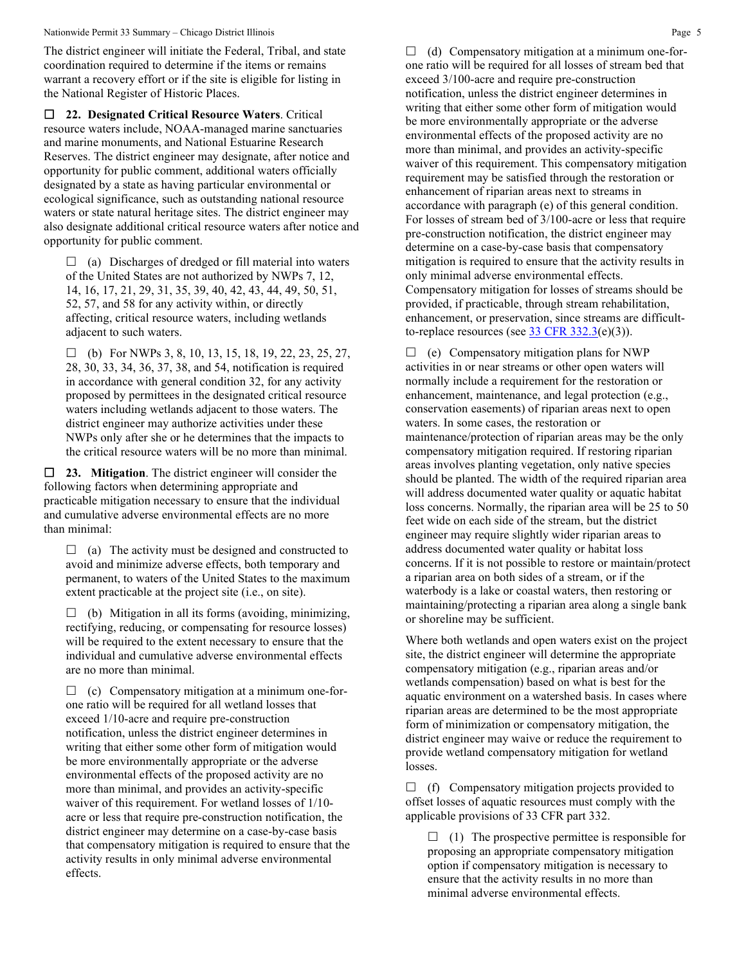Nationwide Permit 33 Summary – Chicago District Illinois **Page 5** All the State of the State of the State of the State of the State of the State of the State of the State of the State of the State of the State of the State

The district engineer will initiate the Federal, Tribal, and state coordination required to determine if the items or remains warrant a recovery effort or if the site is eligible for listing in the National Register of Historic Places.

 **22. Designated Critical Resource Waters**. Critical resource waters include, NOAA-managed marine sanctuaries and marine monuments, and National Estuarine Research Reserves. The district engineer may designate, after notice and opportunity for public comment, additional waters officially designated by a state as having particular environmental or ecological significance, such as outstanding national resource waters or state natural heritage sites. The district engineer may also designate additional critical resource waters after notice and opportunity for public comment.

 $\Box$  (a) Discharges of dredged or fill material into waters of the United States are not authorized by NWPs 7, 12, 14, 16, 17, 21, 29, 31, 35, 39, 40, 42, 43, 44, 49, 50, 51, 52, 57, and 58 for any activity within, or directly affecting, critical resource waters, including wetlands adjacent to such waters.

 $\Box$  (b) For NWPs 3, 8, 10, 13, 15, 18, 19, 22, 23, 25, 27, 28, 30, 33, 34, 36, 37, 38, and 54, notification is required in accordance with general condition 32, for any activity proposed by permittees in the designated critical resource waters including wetlands adjacent to those waters. The district engineer may authorize activities under these NWPs only after she or he determines that the impacts to the critical resource waters will be no more than minimal.

 **23. Mitigation**. The district engineer will consider the following factors when determining appropriate and practicable mitigation necessary to ensure that the individual and cumulative adverse environmental effects are no more than minimal:

 $\Box$  (a) The activity must be designed and constructed to avoid and minimize adverse effects, both temporary and permanent, to waters of the United States to the maximum extent practicable at the project site (i.e., on site).

 $\Box$  (b) Mitigation in all its forms (avoiding, minimizing, rectifying, reducing, or compensating for resource losses) will be required to the extent necessary to ensure that the individual and cumulative adverse environmental effects are no more than minimal.

 $\Box$  (c) Compensatory mitigation at a minimum one-forone ratio will be required for all wetland losses that exceed 1/10-acre and require pre-construction notification, unless the district engineer determines in writing that either some other form of mitigation would be more environmentally appropriate or the adverse environmental effects of the proposed activity are no more than minimal, and provides an activity-specific waiver of this requirement. For wetland losses of 1/10 acre or less that require pre-construction notification, the district engineer may determine on a case-by-case basis that compensatory mitigation is required to ensure that the activity results in only minimal adverse environmental effects.

 $\Box$  (d) Compensatory mitigation at a minimum one-forone ratio will be required for all losses of stream bed that exceed 3/100-acre and require pre-construction notification, unless the district engineer determines in writing that either some other form of mitigation would be more environmentally appropriate or the adverse environmental effects of the proposed activity are no more than minimal, and provides an activity-specific waiver of this requirement. This compensatory mitigation requirement may be satisfied through the restoration or enhancement of riparian areas next to streams in accordance with paragraph (e) of this general condition. For losses of stream bed of 3/100-acre or less that require pre-construction notification, the district engineer may determine on a case-by-case basis that compensatory mitigation is required to ensure that the activity results in only minimal adverse environmental effects. Compensatory mitigation for losses of streams should be provided, if practicable, through stream rehabilitation, enhancement, or preservation, since streams are difficultto-replace resources (see  $33 \text{ CFR } 332.3(e)(3)$ ).

 $\Box$  (e) Compensatory mitigation plans for NWP activities in or near streams or other open waters will normally include a requirement for the restoration or enhancement, maintenance, and legal protection (e.g., conservation easements) of riparian areas next to open waters. In some cases, the restoration or maintenance/protection of riparian areas may be the only compensatory mitigation required. If restoring riparian areas involves planting vegetation, only native species should be planted. The width of the required riparian area will address documented water quality or aquatic habitat loss concerns. Normally, the riparian area will be 25 to 50 feet wide on each side of the stream, but the district engineer may require slightly wider riparian areas to address documented water quality or habitat loss concerns. If it is not possible to restore or maintain/protect a riparian area on both sides of a stream, or if the waterbody is a lake or coastal waters, then restoring or maintaining/protecting a riparian area along a single bank or shoreline may be sufficient.

Where both wetlands and open waters exist on the project site, the district engineer will determine the appropriate compensatory mitigation (e.g., riparian areas and/or wetlands compensation) based on what is best for the aquatic environment on a watershed basis. In cases where riparian areas are determined to be the most appropriate form of minimization or compensatory mitigation, the district engineer may waive or reduce the requirement to provide wetland compensatory mitigation for wetland losses.

 $\Box$  (f) Compensatory mitigation projects provided to offset losses of aquatic resources must comply with the applicable provisions of 33 CFR part 332.

 $\Box$  (1) The prospective permittee is responsible for proposing an appropriate compensatory mitigation option if compensatory mitigation is necessary to ensure that the activity results in no more than minimal adverse environmental effects.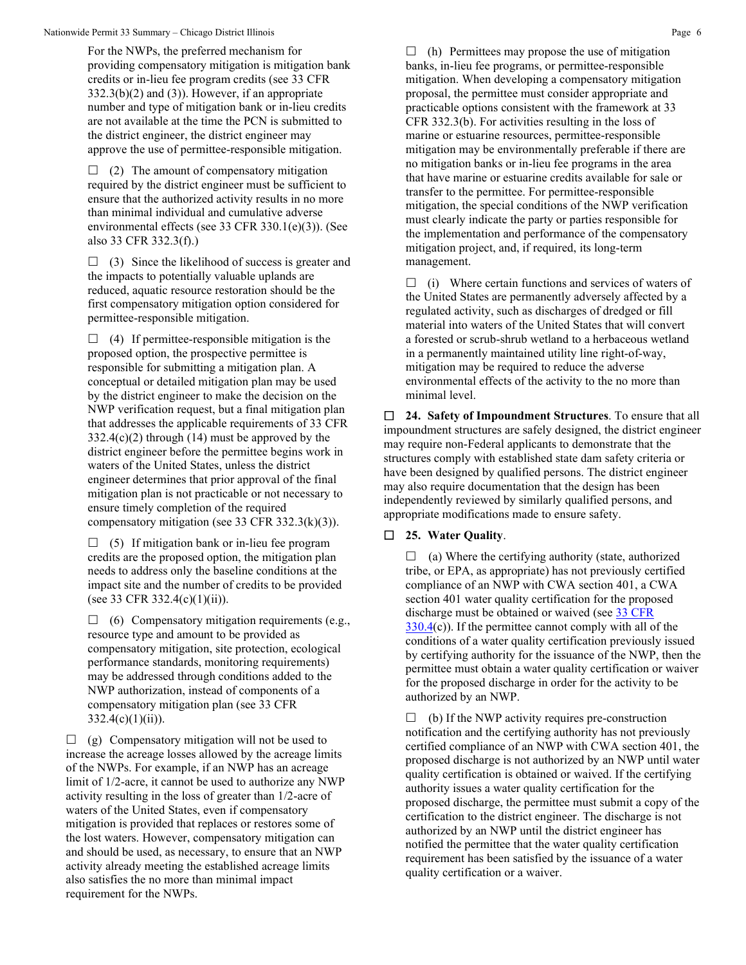For the NWPs, the preferred mechanism for providing compensatory mitigation is mitigation bank credits or in-lieu fee program credits (see 33 CFR  $332.3(b)(2)$  and  $(3)$ ). However, if an appropriate number and type of mitigation bank or in-lieu credits are not available at the time the PCN is submitted to the district engineer, the district engineer may approve the use of permittee-responsible mitigation.

 $\Box$  (2) The amount of compensatory mitigation required by the district engineer must be sufficient to ensure that the authorized activity results in no more than minimal individual and cumulative adverse environmental effects (see 33 CFR 330.1(e)(3)). (See also 33 CFR 332.3(f).)

 $\Box$  (3) Since the likelihood of success is greater and the impacts to potentially valuable uplands are reduced, aquatic resource restoration should be the first compensatory mitigation option considered for permittee-responsible mitigation.

 $\Box$  (4) If permittee-responsible mitigation is the proposed option, the prospective permittee is responsible for submitting a mitigation plan. A conceptual or detailed mitigation plan may be used by the district engineer to make the decision on the NWP verification request, but a final mitigation plan that addresses the applicable requirements of 33 CFR 332.4(c)(2) through (14) must be approved by the district engineer before the permittee begins work in waters of the United States, unless the district engineer determines that prior approval of the final mitigation plan is not practicable or not necessary to ensure timely completion of the required compensatory mitigation (see 33 CFR 332.3(k)(3)).

 $\Box$  (5) If mitigation bank or in-lieu fee program credits are the proposed option, the mitigation plan needs to address only the baseline conditions at the impact site and the number of credits to be provided (see 33 CFR 332.4(c)(1)(ii)).

 $\Box$  (6) Compensatory mitigation requirements (e.g., resource type and amount to be provided as compensatory mitigation, site protection, ecological performance standards, monitoring requirements) may be addressed through conditions added to the NWP authorization, instead of components of a compensatory mitigation plan (see 33 CFR  $332.4(c)(1)(ii)$ .

 $\Box$  (g) Compensatory mitigation will not be used to increase the acreage losses allowed by the acreage limits of the NWPs. For example, if an NWP has an acreage limit of 1/2-acre, it cannot be used to authorize any NWP activity resulting in the loss of greater than 1/2-acre of waters of the United States, even if compensatory mitigation is provided that replaces or restores some of the lost waters. However, compensatory mitigation can and should be used, as necessary, to ensure that an NWP activity already meeting the established acreage limits also satisfies the no more than minimal impact requirement for the NWPs.

 $\Box$  (h) Permittees may propose the use of mitigation banks, in-lieu fee programs, or permittee-responsible mitigation. When developing a compensatory mitigation proposal, the permittee must consider appropriate and practicable options consistent with the framework at 33 CFR 332.3(b). For activities resulting in the loss of marine or estuarine resources, permittee-responsible mitigation may be environmentally preferable if there are no mitigation banks or in-lieu fee programs in the area that have marine or estuarine credits available for sale or transfer to the permittee. For permittee-responsible mitigation, the special conditions of the NWP verification must clearly indicate the party or parties responsible for the implementation and performance of the compensatory mitigation project, and, if required, its long-term management.

 $\Box$  (i) Where certain functions and services of waters of the United States are permanently adversely affected by a regulated activity, such as discharges of dredged or fill material into waters of the United States that will convert a forested or scrub-shrub wetland to a herbaceous wetland in a permanently maintained utility line right-of-way, mitigation may be required to reduce the adverse environmental effects of the activity to the no more than minimal level.

 **24. Safety of Impoundment Structures**. To ensure that all impoundment structures are safely designed, the district engineer may require non-Federal applicants to demonstrate that the structures comply with established state dam safety criteria or have been designed by qualified persons. The district engineer may also require documentation that the design has been independently reviewed by similarly qualified persons, and appropriate modifications made to ensure safety.

# **25. Water Quality**.

 $\Box$  (a) Where the certifying authority (state, authorized tribe, or EPA, as appropriate) has not previously certified compliance of an NWP with CWA section 401, a CWA section 401 water quality certification for the proposed discharge must be obtained or waived (see 33 CFR [330.4\(](https://www.federalregister.gov/select-citation/2021/01/13/33-CFR-330.4)c)). If the permittee cannot comply with all of the conditions of a water quality certification previously issued by certifying authority for the issuance of the NWP, then the permittee must obtain a water quality certification or waiver for the proposed discharge in order for the activity to be authorized by an NWP.

 $\Box$  (b) If the NWP activity requires pre-construction notification and the certifying authority has not previously certified compliance of an NWP with CWA section 401, the proposed discharge is not authorized by an NWP until water quality certification is obtained or waived. If the certifying authority issues a water quality certification for the proposed discharge, the permittee must submit a copy of the certification to the district engineer. The discharge is not authorized by an NWP until the district engineer has notified the permittee that the water quality certification requirement has been satisfied by the issuance of a water quality certification or a waiver.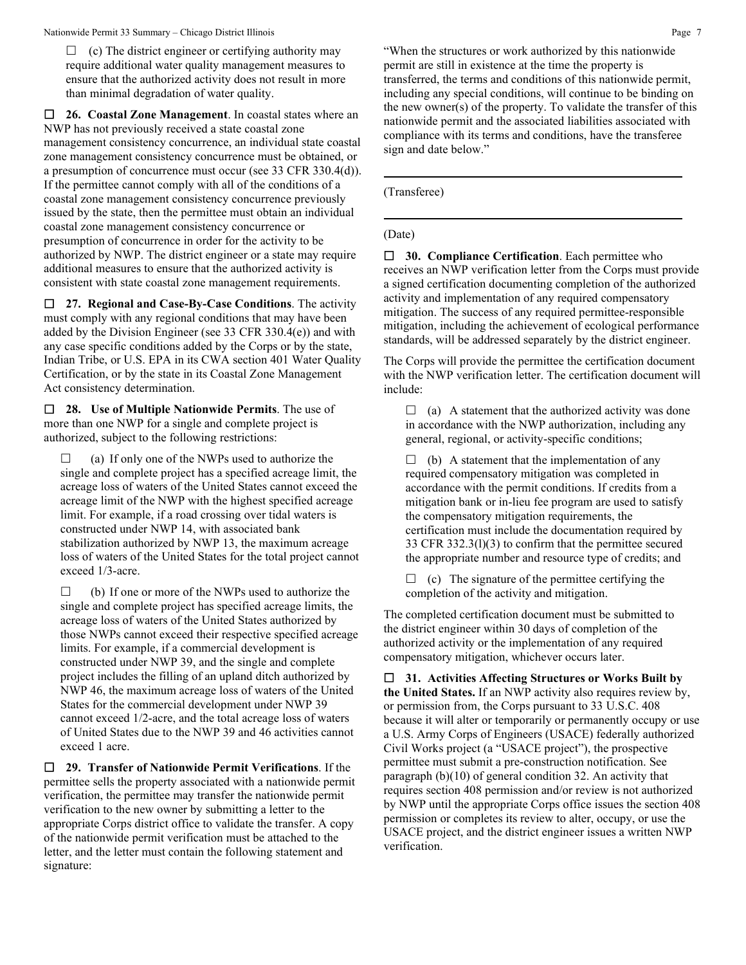$\Box$  (c) The district engineer or certifying authority may require additional water quality management measures to ensure that the authorized activity does not result in more than minimal degradation of water quality.

 **26. Coastal Zone Management**. In coastal states where an NWP has not previously received a state coastal zone management consistency concurrence, an individual state coastal zone management consistency concurrence must be obtained, or a presumption of concurrence must occur (see 33 CFR 330.4(d)). If the permittee cannot comply with all of the conditions of a coastal zone management consistency concurrence previously issued by the state, then the permittee must obtain an individual coastal zone management consistency concurrence or presumption of concurrence in order for the activity to be authorized by NWP. The district engineer or a state may require additional measures to ensure that the authorized activity is consistent with state coastal zone management requirements.

 **27. Regional and Case-By-Case Conditions**. The activity must comply with any regional conditions that may have been added by the Division Engineer (see 33 CFR 330.4(e)) and with any case specific conditions added by the Corps or by the state, Indian Tribe, or U.S. EPA in its CWA section 401 Water Quality Certification, or by the state in its Coastal Zone Management Act consistency determination.

 **28. Use of Multiple Nationwide Permits**. The use of more than one NWP for a single and complete project is authorized, subject to the following restrictions:

 $\Box$  (a) If only one of the NWPs used to authorize the single and complete project has a specified acreage limit, the acreage loss of waters of the United States cannot exceed the acreage limit of the NWP with the highest specified acreage limit. For example, if a road crossing over tidal waters is constructed under NWP 14, with associated bank stabilization authorized by NWP 13, the maximum acreage loss of waters of the United States for the total project cannot exceed 1/3-acre.

 $\Box$  (b) If one or more of the NWPs used to authorize the single and complete project has specified acreage limits, the acreage loss of waters of the United States authorized by those NWPs cannot exceed their respective specified acreage limits. For example, if a commercial development is constructed under NWP 39, and the single and complete project includes the filling of an upland ditch authorized by NWP 46, the maximum acreage loss of waters of the United States for the commercial development under NWP 39 cannot exceed 1/2-acre, and the total acreage loss of waters of United States due to the NWP 39 and 46 activities cannot exceed 1 acre.

 **29. Transfer of Nationwide Permit Verifications**. If the permittee sells the property associated with a nationwide permit verification, the permittee may transfer the nationwide permit verification to the new owner by submitting a letter to the appropriate Corps district office to validate the transfer. A copy of the nationwide permit verification must be attached to the letter, and the letter must contain the following statement and signature:

"When the structures or work authorized by this nationwide permit are still in existence at the time the property is transferred, the terms and conditions of this nationwide permit, including any special conditions, will continue to be binding on the new owner(s) of the property. To validate the transfer of this nationwide permit and the associated liabilities associated with compliance with its terms and conditions, have the transferee sign and date below."

(Transferee)

## (Date)

 **30. Compliance Certification**. Each permittee who receives an NWP verification letter from the Corps must provide a signed certification documenting completion of the authorized activity and implementation of any required compensatory mitigation. The success of any required permittee-responsible mitigation, including the achievement of ecological performance standards, will be addressed separately by the district engineer.

The Corps will provide the permittee the certification document with the NWP verification letter. The certification document will include:

 $\Box$  (a) A statement that the authorized activity was done in accordance with the NWP authorization, including any general, regional, or activity-specific conditions;

 $\Box$  (b) A statement that the implementation of any required compensatory mitigation was completed in accordance with the permit conditions. If credits from a mitigation bank or in-lieu fee program are used to satisfy the compensatory mitigation requirements, the certification must include the documentation required by 33 CFR 332.3(l)(3) to confirm that the permittee secured the appropriate number and resource type of credits; and

 $\Box$  (c) The signature of the permittee certifying the completion of the activity and mitigation.

The completed certification document must be submitted to the district engineer within 30 days of completion of the authorized activity or the implementation of any required compensatory mitigation, whichever occurs later.

 **31. Activities Affecting Structures or Works Built by the United States.** If an NWP activity also requires review by, or permission from, the Corps pursuant to 33 U.S.C. 408 because it will alter or temporarily or permanently occupy or use a U.S. Army Corps of Engineers (USACE) federally authorized Civil Works project (a "USACE project"), the prospective permittee must submit a pre-construction notification. See paragraph (b)(10) of general condition 32. An activity that requires section 408 permission and/or review is not authorized by NWP until the appropriate Corps office issues the section 408 permission or completes its review to alter, occupy, or use the USACE project, and the district engineer issues a written NWP verification.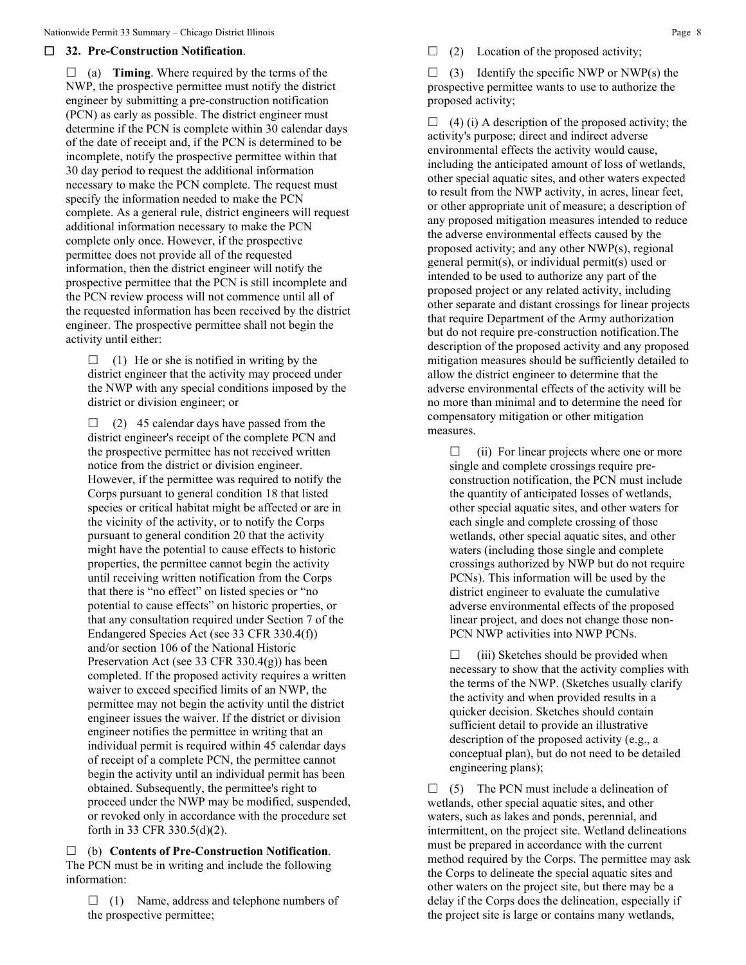### **32. Pre-Construction Notification**.

 $\Box$  (a) **Timing**. Where required by the terms of the NWP, the prospective permittee must notify the district engineer by submitting a pre-construction notification (PCN) as early as possible. The district engineer must determine if the PCN is complete within 30 calendar days of the date of receipt and, if the PCN is determined to be incomplete, notify the prospective permittee within that 30 day period to request the additional information necessary to make the PCN complete. The request must specify the information needed to make the PCN complete. As a general rule, district engineers will request additional information necessary to make the PCN complete only once. However, if the prospective permittee does not provide all of the requested information, then the district engineer will notify the prospective permittee that the PCN is still incomplete and the PCN review process will not commence until all of the requested information has been received by the district engineer. The prospective permittee shall not begin the activity until either:

 $\Box$  (1) He or she is notified in writing by the district engineer that the activity may proceed under the NWP with any special conditions imposed by the district or division engineer; or

 $\Box$  (2) 45 calendar days have passed from the district engineer's receipt of the complete PCN and the prospective permittee has not received written notice from the district or division engineer. However, if the permittee was required to notify the Corps pursuant to general condition 18 that listed species or critical habitat might be affected or are in the vicinity of the activity, or to notify the Corps pursuant to general condition 20 that the activity might have the potential to cause effects to historic properties, the permittee cannot begin the activity until receiving written notification from the Corps that there is "no effect" on listed species or "no potential to cause effects" on historic properties, or that any consultation required under Section 7 of the Endangered Species Act (see 33 CFR 330.4(f)) and/or section 106 of the National Historic Preservation Act (see 33 CFR 330.4(g)) has been completed. If the proposed activity requires a written waiver to exceed specified limits of an NWP, the permittee may not begin the activity until the district engineer issues the waiver. If the district or division engineer notifies the permittee in writing that an individual permit is required within 45 calendar days of receipt of a complete PCN, the permittee cannot begin the activity until an individual permit has been obtained. Subsequently, the permittee's right to proceed under the NWP may be modified, suspended, or revoked only in accordance with the procedure set forth in 33 CFR 330.5(d)(2).

 (b) **Contents of Pre-Construction Notification**. The PCN must be in writing and include the following information:

 $\Box$  (1) Name, address and telephone numbers of the prospective permittee;

 $\Box$  (2) Location of the proposed activity;

 $\Box$  (3) Identify the specific NWP or NWP(s) the prospective permittee wants to use to authorize the proposed activity;

 $\Box$  (4) (i) A description of the proposed activity; the activity's purpose; direct and indirect adverse environmental effects the activity would cause, including the anticipated amount of loss of wetlands, other special aquatic sites, and other waters expected to result from the NWP activity, in acres, linear feet, or other appropriate unit of measure; a description of any proposed mitigation measures intended to reduce the adverse environmental effects caused by the proposed activity; and any other NWP(s), regional general permit(s), or individual permit(s) used or intended to be used to authorize any part of the proposed project or any related activity, including other separate and distant crossings for linear projects that require Department of the Army authorization but do not require pre-construction notification.The description of the proposed activity and any proposed mitigation measures should be sufficiently detailed to allow the district engineer to determine that the adverse environmental effects of the activity will be no more than minimal and to determine the need for compensatory mitigation or other mitigation measures.

 $\Box$  (ii) For linear projects where one or more single and complete crossings require preconstruction notification, the PCN must include the quantity of anticipated losses of wetlands, other special aquatic sites, and other waters for each single and complete crossing of those wetlands, other special aquatic sites, and other waters (including those single and complete crossings authorized by NWP but do not require PCNs). This information will be used by the district engineer to evaluate the cumulative adverse environmental effects of the proposed linear project, and does not change those non-PCN NWP activities into NWP PCNs.

 $\Box$  (iii) Sketches should be provided when necessary to show that the activity complies with the terms of the NWP. (Sketches usually clarify the activity and when provided results in a quicker decision. Sketches should contain sufficient detail to provide an illustrative description of the proposed activity (e.g., a conceptual plan), but do not need to be detailed engineering plans);

 $\Box$  (5) The PCN must include a delineation of wetlands, other special aquatic sites, and other waters, such as lakes and ponds, perennial, and intermittent, on the project site. Wetland delineations must be prepared in accordance with the current method required by the Corps. The permittee may ask the Corps to delineate the special aquatic sites and other waters on the project site, but there may be a delay if the Corps does the delineation, especially if the project site is large or contains many wetlands,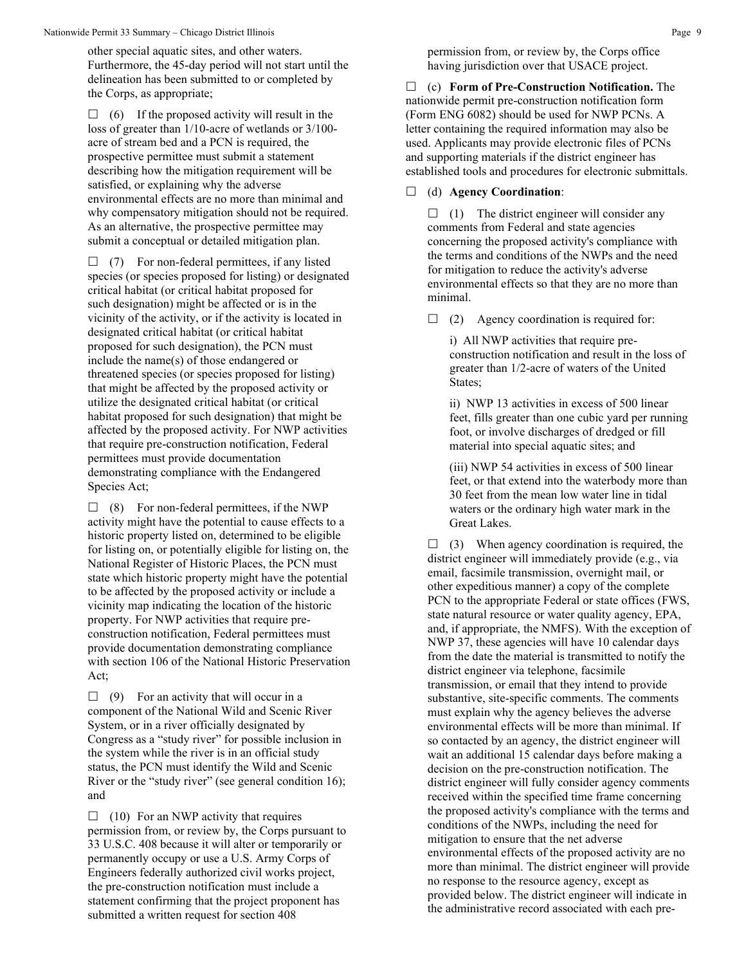other special aquatic sites, and other waters. Furthermore, the 45-day period will not start until the delineation has been submitted to or completed by the Corps, as appropriate;

 $\Box$  (6) If the proposed activity will result in the loss of greater than 1/10-acre of wetlands or 3/100 acre of stream bed and a PCN is required, the prospective permittee must submit a statement describing how the mitigation requirement will be satisfied, or explaining why the adverse environmental effects are no more than minimal and why compensatory mitigation should not be required. As an alternative, the prospective permittee may submit a conceptual or detailed mitigation plan.

 $\Box$  (7) For non-federal permittees, if any listed species (or species proposed for listing) or designated critical habitat (or critical habitat proposed for such designation) might be affected or is in the vicinity of the activity, or if the activity is located in designated critical habitat (or critical habitat proposed for such designation), the PCN must include the name(s) of those endangered or threatened species (or species proposed for listing) that might be affected by the proposed activity or utilize the designated critical habitat (or critical habitat proposed for such designation) that might be affected by the proposed activity. For NWP activities that require pre-construction notification, Federal permittees must provide documentation demonstrating compliance with the Endangered Species Act;

 $\Box$  (8) For non-federal permittees, if the NWP activity might have the potential to cause effects to a historic property listed on, determined to be eligible for listing on, or potentially eligible for listing on, the National Register of Historic Places, the PCN must state which historic property might have the potential to be affected by the proposed activity or include a vicinity map indicating the location of the historic property. For NWP activities that require preconstruction notification, Federal permittees must provide documentation demonstrating compliance with section 106 of the National Historic Preservation Act;

 $\Box$  (9) For an activity that will occur in a component of the National Wild and Scenic River System, or in a river officially designated by Congress as a "study river" for possible inclusion in the system while the river is in an official study status, the PCN must identify the Wild and Scenic River or the "study river" (see general condition 16); and

 $\Box$  (10) For an NWP activity that requires permission from, or review by, the Corps pursuant to 33 U.S.C. 408 because it will alter or temporarily or permanently occupy or use a U.S. Army Corps of Engineers federally authorized civil works project, the pre-construction notification must include a statement confirming that the project proponent has submitted a written request for section 408

permission from, or review by, the Corps office having jurisdiction over that USACE project.

 (c) **Form of Pre-Construction Notification.** The nationwide permit pre-construction notification form (Form ENG 6082) should be used for NWP PCNs. A letter containing the required information may also be used. Applicants may provide electronic files of PCNs and supporting materials if the district engineer has established tools and procedures for electronic submittals.

(d) **Agency Coordination**:

 $\Box$  (1) The district engineer will consider any comments from Federal and state agencies concerning the proposed activity's compliance with the terms and conditions of the NWPs and the need for mitigation to reduce the activity's adverse environmental effects so that they are no more than minimal.

 $\Box$  (2) Agency coordination is required for:

i) All NWP activities that require preconstruction notification and result in the loss of greater than 1/2-acre of waters of the United States;

ii) NWP 13 activities in excess of 500 linear feet, fills greater than one cubic yard per running foot, or involve discharges of dredged or fill material into special aquatic sites; and

(iii) NWP 54 activities in excess of 500 linear feet, or that extend into the waterbody more than 30 feet from the mean low water line in tidal waters or the ordinary high water mark in the Great Lakes.

 $\Box$  (3) When agency coordination is required, the district engineer will immediately provide (e.g., via email, facsimile transmission, overnight mail, or other expeditious manner) a copy of the complete PCN to the appropriate Federal or state offices (FWS, state natural resource or water quality agency, EPA, and, if appropriate, the NMFS). With the exception of NWP 37, these agencies will have 10 calendar days from the date the material is transmitted to notify the district engineer via telephone, facsimile transmission, or email that they intend to provide substantive, site-specific comments. The comments must explain why the agency believes the adverse environmental effects will be more than minimal. If so contacted by an agency, the district engineer will wait an additional 15 calendar days before making a decision on the pre-construction notification. The district engineer will fully consider agency comments received within the specified time frame concerning the proposed activity's compliance with the terms and conditions of the NWPs, including the need for mitigation to ensure that the net adverse environmental effects of the proposed activity are no more than minimal. The district engineer will provide no response to the resource agency, except as provided below. The district engineer will indicate in the administrative record associated with each pre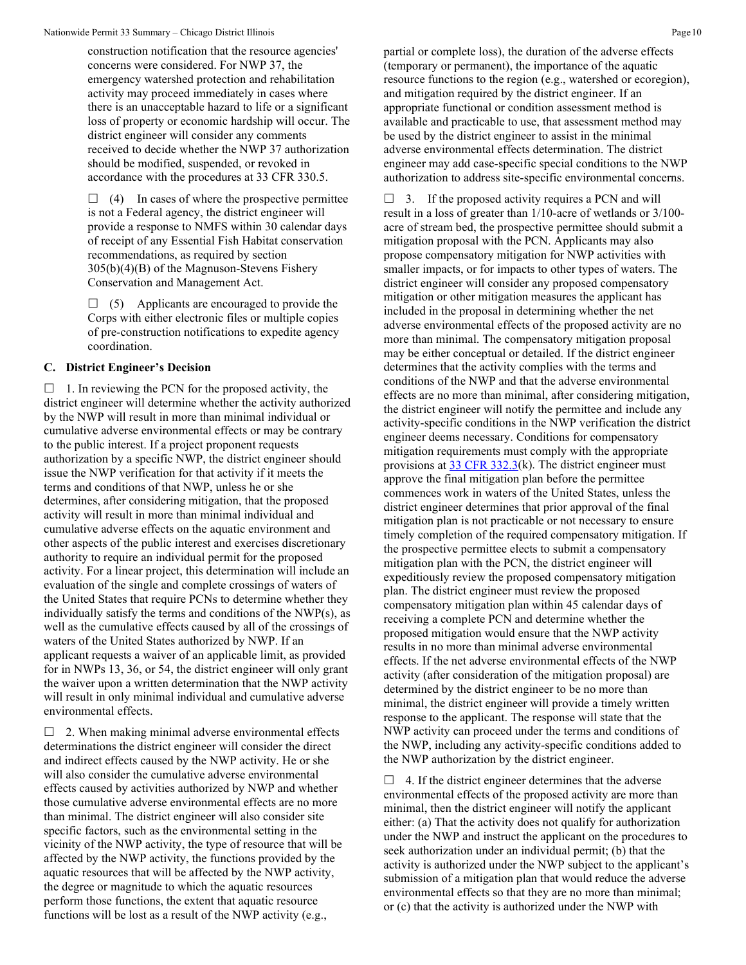construction notification that the resource agencies' concerns were considered. For NWP 37, the emergency watershed protection and rehabilitation activity may proceed immediately in cases where there is an unacceptable hazard to life or a significant loss of property or economic hardship will occur. The district engineer will consider any comments received to decide whether the NWP 37 authorization should be modified, suspended, or revoked in accordance with the procedures at 33 CFR 330.5.

 $\Box$  (4) In cases of where the prospective permittee is not a Federal agency, the district engineer will provide a response to NMFS within 30 calendar days of receipt of any Essential Fish Habitat conservation recommendations, as required by section 305(b)(4)(B) of the Magnuson-Stevens Fishery Conservation and Management Act.

 $\Box$  (5) Applicants are encouraged to provide the Corps with either electronic files or multiple copies of pre-construction notifications to expedite agency coordination.

## **C. District Engineer's Decision**

 $\Box$  1. In reviewing the PCN for the proposed activity, the district engineer will determine whether the activity authorized by the NWP will result in more than minimal individual or cumulative adverse environmental effects or may be contrary to the public interest. If a project proponent requests authorization by a specific NWP, the district engineer should issue the NWP verification for that activity if it meets the terms and conditions of that NWP, unless he or she determines, after considering mitigation, that the proposed activity will result in more than minimal individual and cumulative adverse effects on the aquatic environment and other aspects of the public interest and exercises discretionary authority to require an individual permit for the proposed activity. For a linear project, this determination will include an evaluation of the single and complete crossings of waters of the United States that require PCNs to determine whether they individually satisfy the terms and conditions of the NWP(s), as well as the cumulative effects caused by all of the crossings of waters of the United States authorized by NWP. If an applicant requests a waiver of an applicable limit, as provided for in NWPs 13, 36, or 54, the district engineer will only grant the waiver upon a written determination that the NWP activity will result in only minimal individual and cumulative adverse environmental effects.

 $\Box$  2. When making minimal adverse environmental effects determinations the district engineer will consider the direct and indirect effects caused by the NWP activity. He or she will also consider the cumulative adverse environmental effects caused by activities authorized by NWP and whether those cumulative adverse environmental effects are no more than minimal. The district engineer will also consider site specific factors, such as the environmental setting in the vicinity of the NWP activity, the type of resource that will be affected by the NWP activity, the functions provided by the aquatic resources that will be affected by the NWP activity, the degree or magnitude to which the aquatic resources perform those functions, the extent that aquatic resource functions will be lost as a result of the NWP activity (e.g.,

partial or complete loss), the duration of the adverse effects (temporary or permanent), the importance of the aquatic resource functions to the region (e.g., watershed or ecoregion), and mitigation required by the district engineer. If an appropriate functional or condition assessment method is available and practicable to use, that assessment method may be used by the district engineer to assist in the minimal adverse environmental effects determination. The district engineer may add case-specific special conditions to the NWP authorization to address site-specific environmental concerns.

 $\Box$  3. If the proposed activity requires a PCN and will result in a loss of greater than 1/10-acre of wetlands or 3/100 acre of stream bed, the prospective permittee should submit a mitigation proposal with the PCN. Applicants may also propose compensatory mitigation for NWP activities with smaller impacts, or for impacts to other types of waters. The district engineer will consider any proposed compensatory mitigation or other mitigation measures the applicant has included in the proposal in determining whether the net adverse environmental effects of the proposed activity are no more than minimal. The compensatory mitigation proposal may be either conceptual or detailed. If the district engineer determines that the activity complies with the terms and conditions of the NWP and that the adverse environmental effects are no more than minimal, after considering mitigation, the district engineer will notify the permittee and include any activity-specific conditions in the NWP verification the district engineer deems necessary. Conditions for compensatory mitigation requirements must comply with the appropriate provisions at  $33 \text{ CFR } 332.3$ (k). The district engineer must approve the final mitigation plan before the permittee commences work in waters of the United States, unless the district engineer determines that prior approval of the final mitigation plan is not practicable or not necessary to ensure timely completion of the required compensatory mitigation. If the prospective permittee elects to submit a compensatory mitigation plan with the PCN, the district engineer will expeditiously review the proposed compensatory mitigation plan. The district engineer must review the proposed compensatory mitigation plan within 45 calendar days of receiving a complete PCN and determine whether the proposed mitigation would ensure that the NWP activity results in no more than minimal adverse environmental effects. If the net adverse environmental effects of the NWP activity (after consideration of the mitigation proposal) are determined by the district engineer to be no more than minimal, the district engineer will provide a timely written response to the applicant. The response will state that the NWP activity can proceed under the terms and conditions of the NWP, including any activity-specific conditions added to the NWP authorization by the district engineer.

 $\Box$  4. If the district engineer determines that the adverse environmental effects of the proposed activity are more than minimal, then the district engineer will notify the applicant either: (a) That the activity does not qualify for authorization under the NWP and instruct the applicant on the procedures to seek authorization under an individual permit; (b) that the activity is authorized under the NWP subject to the applicant's submission of a mitigation plan that would reduce the adverse environmental effects so that they are no more than minimal; or (c) that the activity is authorized under the NWP with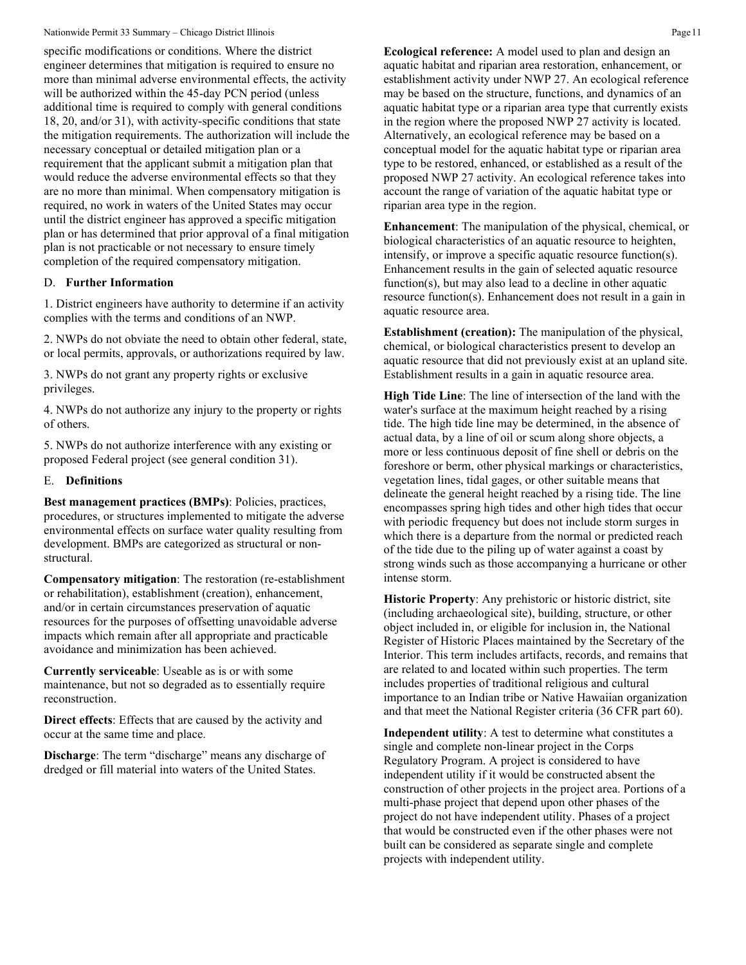#### Nationwide Permit 33 Summary – Chicago District Illinois Page 11

specific modifications or conditions. Where the district engineer determines that mitigation is required to ensure no more than minimal adverse environmental effects, the activity will be authorized within the 45-day PCN period (unless additional time is required to comply with general conditions 18, 20, and/or 31), with activity-specific conditions that state the mitigation requirements. The authorization will include the necessary conceptual or detailed mitigation plan or a requirement that the applicant submit a mitigation plan that would reduce the adverse environmental effects so that they are no more than minimal. When compensatory mitigation is required, no work in waters of the United States may occur until the district engineer has approved a specific mitigation plan or has determined that prior approval of a final mitigation plan is not practicable or not necessary to ensure timely completion of the required compensatory mitigation.

### D. **Further Information**

1. District engineers have authority to determine if an activity complies with the terms and conditions of an NWP.

2. NWPs do not obviate the need to obtain other federal, state, or local permits, approvals, or authorizations required by law.

3. NWPs do not grant any property rights or exclusive privileges.

4. NWPs do not authorize any injury to the property or rights of others.

5. NWPs do not authorize interference with any existing or proposed Federal project (see general condition 31).

#### E. **Definitions**

**Best management practices (BMPs)**: Policies, practices, procedures, or structures implemented to mitigate the adverse environmental effects on surface water quality resulting from development. BMPs are categorized as structural or nonstructural.

**Compensatory mitigation**: The restoration (re-establishment or rehabilitation), establishment (creation), enhancement, and/or in certain circumstances preservation of aquatic resources for the purposes of offsetting unavoidable adverse impacts which remain after all appropriate and practicable avoidance and minimization has been achieved.

**Currently serviceable**: Useable as is or with some maintenance, but not so degraded as to essentially require reconstruction.

**Direct effects**: Effects that are caused by the activity and occur at the same time and place.

**Discharge**: The term "discharge" means any discharge of dredged or fill material into waters of the United States.

**Ecological reference:** A model used to plan and design an aquatic habitat and riparian area restoration, enhancement, or establishment activity under NWP 27. An ecological reference may be based on the structure, functions, and dynamics of an aquatic habitat type or a riparian area type that currently exists in the region where the proposed NWP 27 activity is located. Alternatively, an ecological reference may be based on a conceptual model for the aquatic habitat type or riparian area type to be restored, enhanced, or established as a result of the proposed NWP 27 activity. An ecological reference takes into account the range of variation of the aquatic habitat type or riparian area type in the region.

**Enhancement**: The manipulation of the physical, chemical, or biological characteristics of an aquatic resource to heighten, intensify, or improve a specific aquatic resource function(s). Enhancement results in the gain of selected aquatic resource function(s), but may also lead to a decline in other aquatic resource function(s). Enhancement does not result in a gain in aquatic resource area.

**Establishment (creation):** The manipulation of the physical, chemical, or biological characteristics present to develop an aquatic resource that did not previously exist at an upland site. Establishment results in a gain in aquatic resource area.

**High Tide Line**: The line of intersection of the land with the water's surface at the maximum height reached by a rising tide. The high tide line may be determined, in the absence of actual data, by a line of oil or scum along shore objects, a more or less continuous deposit of fine shell or debris on the foreshore or berm, other physical markings or characteristics, vegetation lines, tidal gages, or other suitable means that delineate the general height reached by a rising tide. The line encompasses spring high tides and other high tides that occur with periodic frequency but does not include storm surges in which there is a departure from the normal or predicted reach of the tide due to the piling up of water against a coast by strong winds such as those accompanying a hurricane or other intense storm.

**Historic Property**: Any prehistoric or historic district, site (including archaeological site), building, structure, or other object included in, or eligible for inclusion in, the National Register of Historic Places maintained by the Secretary of the Interior. This term includes artifacts, records, and remains that are related to and located within such properties. The term includes properties of traditional religious and cultural importance to an Indian tribe or Native Hawaiian organization and that meet the National Register criteria (36 CFR part 60).

**Independent utility**: A test to determine what constitutes a single and complete non-linear project in the Corps Regulatory Program. A project is considered to have independent utility if it would be constructed absent the construction of other projects in the project area. Portions of a multi-phase project that depend upon other phases of the project do not have independent utility. Phases of a project that would be constructed even if the other phases were not built can be considered as separate single and complete projects with independent utility.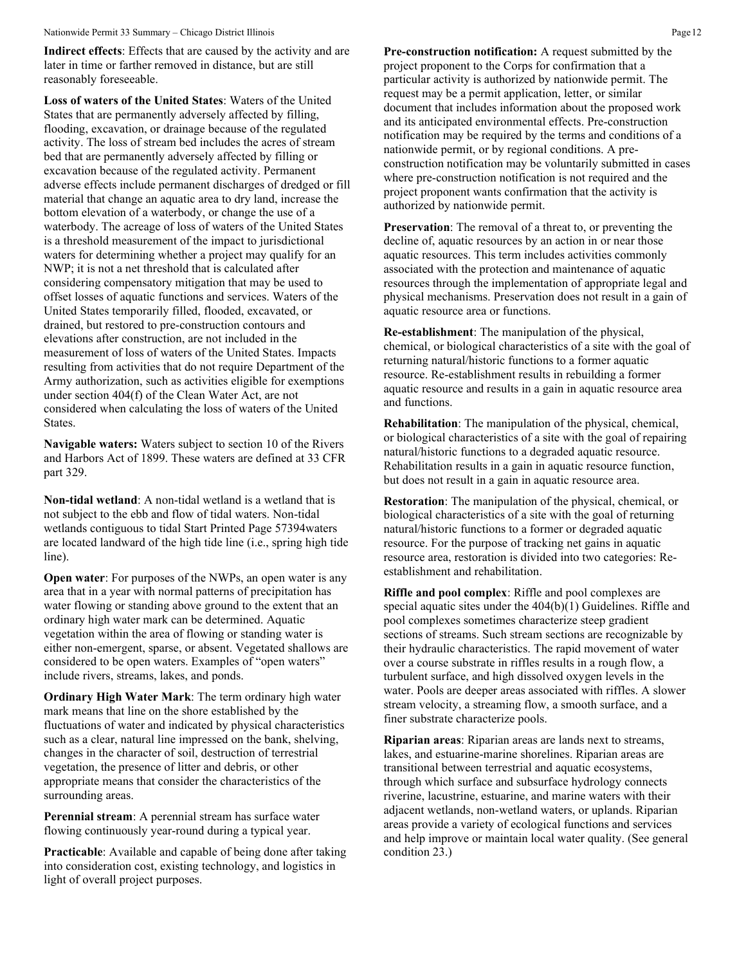#### Nationwide Permit 33 Summary – Chicago District Illinois Page 12

**Indirect effects**: Effects that are caused by the activity and are later in time or farther removed in distance, but are still reasonably foreseeable.

**Loss of waters of the United States**: Waters of the United States that are permanently adversely affected by filling, flooding, excavation, or drainage because of the regulated activity. The loss of stream bed includes the acres of stream bed that are permanently adversely affected by filling or excavation because of the regulated activity. Permanent adverse effects include permanent discharges of dredged or fill material that change an aquatic area to dry land, increase the bottom elevation of a waterbody, or change the use of a waterbody. The acreage of loss of waters of the United States is a threshold measurement of the impact to jurisdictional waters for determining whether a project may qualify for an NWP; it is not a net threshold that is calculated after considering compensatory mitigation that may be used to offset losses of aquatic functions and services. Waters of the United States temporarily filled, flooded, excavated, or drained, but restored to pre-construction contours and elevations after construction, are not included in the measurement of loss of waters of the United States. Impacts resulting from activities that do not require Department of the Army authorization, such as activities eligible for exemptions under section 404(f) of the Clean Water Act, are not considered when calculating the loss of waters of the United States.

**Navigable waters:** Waters subject to section 10 of the Rivers and Harbors Act of 1899. These waters are defined at 33 CFR part 329.

**Non-tidal wetland**: A non-tidal wetland is a wetland that is not subject to the ebb and flow of tidal waters. Non-tidal wetlands contiguous to tidal Start Printed Page 57394waters are located landward of the high tide line (i.e., spring high tide line).

**Open water:** For purposes of the NWPs, an open water is any area that in a year with normal patterns of precipitation has water flowing or standing above ground to the extent that an ordinary high water mark can be determined. Aquatic vegetation within the area of flowing or standing water is either non-emergent, sparse, or absent. Vegetated shallows are considered to be open waters. Examples of "open waters" include rivers, streams, lakes, and ponds.

**Ordinary High Water Mark**: The term ordinary high water mark means that line on the shore established by the fluctuations of water and indicated by physical characteristics such as a clear, natural line impressed on the bank, shelving, changes in the character of soil, destruction of terrestrial vegetation, the presence of litter and debris, or other appropriate means that consider the characteristics of the surrounding areas.

**Perennial stream**: A perennial stream has surface water flowing continuously year-round during a typical year.

**Practicable**: Available and capable of being done after taking into consideration cost, existing technology, and logistics in light of overall project purposes.

**Pre-construction notification:** A request submitted by the project proponent to the Corps for confirmation that a particular activity is authorized by nationwide permit. The request may be a permit application, letter, or similar document that includes information about the proposed work and its anticipated environmental effects. Pre-construction notification may be required by the terms and conditions of a nationwide permit, or by regional conditions. A preconstruction notification may be voluntarily submitted in cases where pre-construction notification is not required and the project proponent wants confirmation that the activity is authorized by nationwide permit.

**Preservation**: The removal of a threat to, or preventing the decline of, aquatic resources by an action in or near those aquatic resources. This term includes activities commonly associated with the protection and maintenance of aquatic resources through the implementation of appropriate legal and physical mechanisms. Preservation does not result in a gain of aquatic resource area or functions.

**Re-establishment**: The manipulation of the physical, chemical, or biological characteristics of a site with the goal of returning natural/historic functions to a former aquatic resource. Re-establishment results in rebuilding a former aquatic resource and results in a gain in aquatic resource area and functions.

**Rehabilitation**: The manipulation of the physical, chemical, or biological characteristics of a site with the goal of repairing natural/historic functions to a degraded aquatic resource. Rehabilitation results in a gain in aquatic resource function, but does not result in a gain in aquatic resource area.

**Restoration**: The manipulation of the physical, chemical, or biological characteristics of a site with the goal of returning natural/historic functions to a former or degraded aquatic resource. For the purpose of tracking net gains in aquatic resource area, restoration is divided into two categories: Reestablishment and rehabilitation.

**Riffle and pool complex**: Riffle and pool complexes are special aquatic sites under the 404(b)(1) Guidelines. Riffle and pool complexes sometimes characterize steep gradient sections of streams. Such stream sections are recognizable by their hydraulic characteristics. The rapid movement of water over a course substrate in riffles results in a rough flow, a turbulent surface, and high dissolved oxygen levels in the water. Pools are deeper areas associated with riffles. A slower stream velocity, a streaming flow, a smooth surface, and a finer substrate characterize pools.

**Riparian areas**: Riparian areas are lands next to streams, lakes, and estuarine-marine shorelines. Riparian areas are transitional between terrestrial and aquatic ecosystems, through which surface and subsurface hydrology connects riverine, lacustrine, estuarine, and marine waters with their adjacent wetlands, non-wetland waters, or uplands. Riparian areas provide a variety of ecological functions and services and help improve or maintain local water quality. (See general condition 23.)